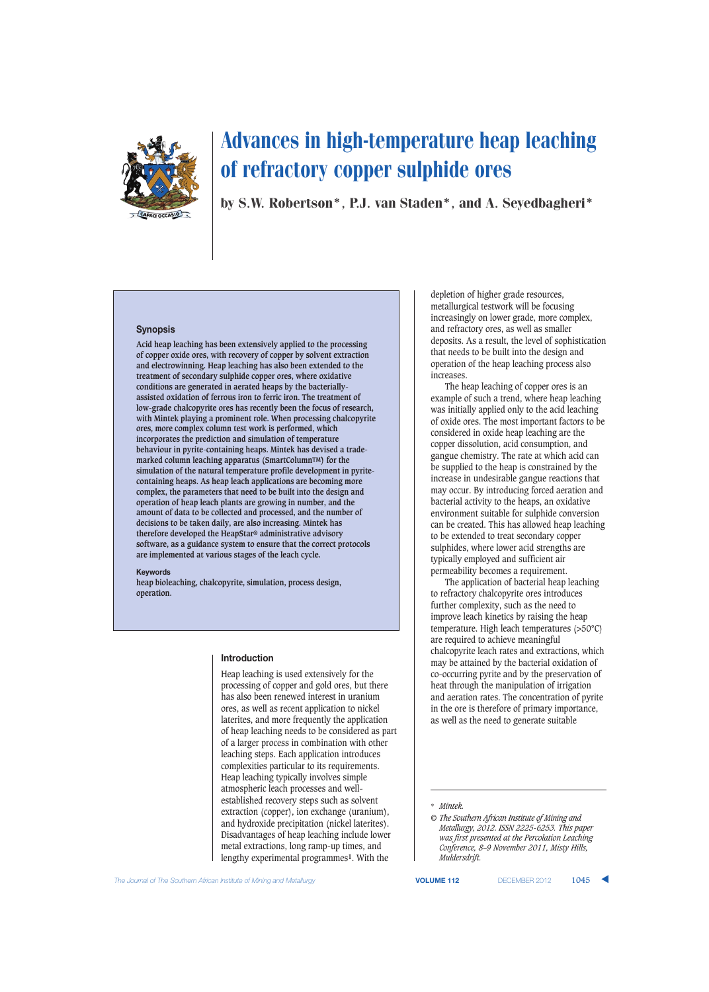

by S.W. Robertson\*, P.J. van Staden\*, and A. Seyedbagheri\*

#### **Synopsis**

**Acid heap leaching has been extensively applied to the processing of copper oxide ores, with recovery of copper by solvent extraction and electrowinning. Heap leaching has also been extended to the treatment of secondary sulphide copper ores, where oxidative conditions are generated in aerated heaps by the bacteriallyassisted oxidation of ferrous iron to ferric iron. The treatment of low-grade chalcopyrite ores has recently been the focus of research, with Mintek playing a prominent role. When processing chalcopyrite ores, more complex column test work is performed, which incorporates the prediction and simulation of temperature behaviour in pyrite-containing heaps. Mintek has devised a trademarked column leaching apparatus (SmartColumnTM) for the simulation of the natural temperature profile development in pyritecontaining heaps. As heap leach applications are becoming more complex, the parameters that need to be built into the design and operation of heap leach plants are growing in number, and the amount of data to be collected and processed, and the number of decisions to be taken daily, are also increasing. Mintek has therefore developed the HeapStar® administrative advisory software, as a guidance system to ensure that the correct protocols are implemented at various stages of the leach cycle.**

#### **Keywords**

**heap bioleaching, chalcopyrite, simulation, process design, operation.**

#### **Introduction**

Heap leaching is used extensively for the processing of copper and gold ores, but there has also been renewed interest in uranium ores, as well as recent application to nickel laterites, and more frequently the application of heap leaching needs to be considered as part of a larger process in combination with other leaching steps. Each application introduces complexities particular to its requirements. Heap leaching typically involves simple atmospheric leach processes and wellestablished recovery steps such as solvent extraction (copper), ion exchange (uranium), and hydroxide precipitation (nickel laterites). Disadvantages of heap leaching include lower metal extractions, long ramp-up times, and lengthy experimental programmes**1**. With the

depletion of higher grade resources, metallurgical testwork will be focusing increasingly on lower grade, more complex, and refractory ores, as well as smaller deposits. As a result, the level of sophistication that needs to be built into the design and operation of the heap leaching process also increases.

The heap leaching of copper ores is an example of such a trend, where heap leaching was initially applied only to the acid leaching of oxide ores. The most important factors to be considered in oxide heap leaching are the copper dissolution, acid consumption, and gangue chemistry. The rate at which acid can be supplied to the heap is constrained by the increase in undesirable gangue reactions that may occur. By introducing forced aeration and bacterial activity to the heaps, an oxidative environment suitable for sulphide conversion can be created. This has allowed heap leaching to be extended to treat secondary copper sulphides, where lower acid strengths are typically employed and sufficient air permeability becomes a requirement.

The application of bacterial heap leaching to refractory chalcopyrite ores introduces further complexity, such as the need to improve leach kinetics by raising the heap temperature. High leach temperatures (>50°C) are required to achieve meaningful chalcopyrite leach rates and extractions, which may be attained by the bacterial oxidation of co-occurring pyrite and by the preservation of heat through the manipulation of irrigation and aeration rates. The concentration of pyrite in the ore is therefore of primary importance, as well as the need to generate suitable

\* *Mintek.*

**The Journal of The Southern African Institute of Mining and Metallurgy <b>VOLUME 112** DECEMBER 2012 **1045** 

*<sup>©</sup> The Southern African Institute of Mining and Metallurgy, 2012. ISSN 2225-6253. This paper was first presented at the Percolation Leaching Conference, 8–9 November 2011, Misty Hills, Muldersdrift.*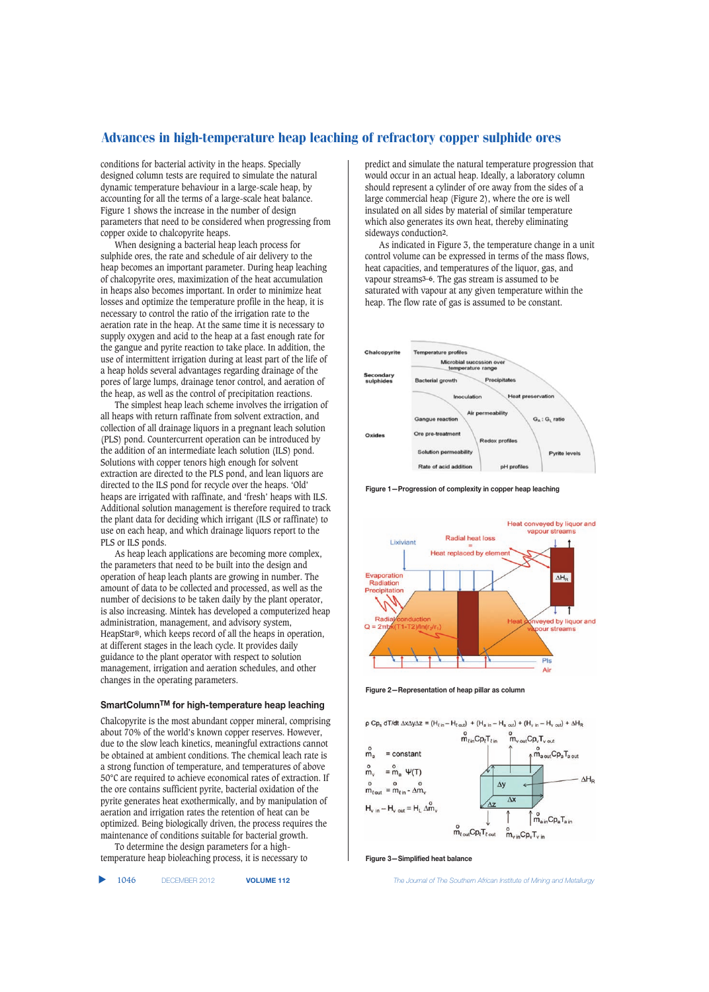conditions for bacterial activity in the heaps. Specially designed column tests are required to simulate the natural dynamic temperature behaviour in a large-scale heap, by accounting for all the terms of a large-scale heat balance. Figure 1 shows the increase in the number of design parameters that need to be considered when progressing from copper oxide to chalcopyrite heaps.

When designing a bacterial heap leach process for sulphide ores, the rate and schedule of air delivery to the heap becomes an important parameter. During heap leaching of chalcopyrite ores, maximization of the heat accumulation in heaps also becomes important. In order to minimize heat losses and optimize the temperature profile in the heap, it is necessary to control the ratio of the irrigation rate to the aeration rate in the heap. At the same time it is necessary to supply oxygen and acid to the heap at a fast enough rate for the gangue and pyrite reaction to take place. In addition, the use of intermittent irrigation during at least part of the life of a heap holds several advantages regarding drainage of the pores of large lumps, drainage tenor control, and aeration of the heap, as well as the control of precipitation reactions.

The simplest heap leach scheme involves the irrigation of all heaps with return raffinate from solvent extraction, and collection of all drainage liquors in a pregnant leach solution (PLS) pond. Countercurrent operation can be introduced by the addition of an intermediate leach solution (ILS) pond. Solutions with copper tenors high enough for solvent extraction are directed to the PLS pond, and lean liquors are directed to the ILS pond for recycle over the heaps. 'Old' heaps are irrigated with raffinate, and 'fresh' heaps with ILS. Additional solution management is therefore required to track the plant data for deciding which irrigant (ILS or raffinate) to use on each heap, and which drainage liquors report to the PLS or ILS ponds.

As heap leach applications are becoming more complex, the parameters that need to be built into the design and operation of heap leach plants are growing in number. The amount of data to be collected and processed, as well as the number of decisions to be taken daily by the plant operator, is also increasing. Mintek has developed a computerized heap administration, management, and advisory system, HeapStar®, which keeps record of all the heaps in operation, at different stages in the leach cycle. It provides daily guidance to the plant operator with respect to solution management, irrigation and aeration schedules, and other changes in the operating parameters.

#### **SmartColumnTM for high-temperature heap leaching**

Chalcopyrite is the most abundant copper mineral, comprising about 70% of the world's known copper reserves. However, due to the slow leach kinetics, meaningful extractions cannot be obtained at ambient conditions. The chemical leach rate is a strong function of temperature, and temperatures of above 50°C are required to achieve economical rates of extraction. If the ore contains sufficient pyrite, bacterial oxidation of the pyrite generates heat exothermically, and by manipulation of aeration and irrigation rates the retention of heat can be optimized. Being biologically driven, the process requires the maintenance of conditions suitable for bacterial growth. To determine the design parameters for a high-

temperature heap bioleaching process, it is necessary to

▲

predict and simulate the natural temperature progression that would occur in an actual heap. Ideally, a laboratory column should represent a cylinder of ore away from the sides of a large commercial heap (Figure 2), where the ore is well insulated on all sides by material of similar temperature which also generates its own heat, thereby eliminating sideways conduction**2**.

As indicated in Figure 3, the temperature change in a unit control volume can be expressed in terms of the mass flows, heat capacities, and temperatures of the liquor, gas, and vapour streams**3–6**. The gas stream is assumed to be saturated with vapour at any given temperature within the heap. The flow rate of gas is assumed to be constant.



**Figure 1—Progression of complexity in copper heap leaching**



**Figure 2—Representation of heap pillar as column**

 $\rho Cp_s dT/dt \Delta x \Delta y \Delta z = (H_{t in} - H_{t out}) + (H_{a in} - H_{a out}) + (H_{v in} - H_{v out}) + \Delta H_R$ 



**Figure 3—Simplified heat balance**

1046 DECEMBER 2012 **VOLUME 112** *The Journal of The Southern African Institute of Mining and Metallurgy*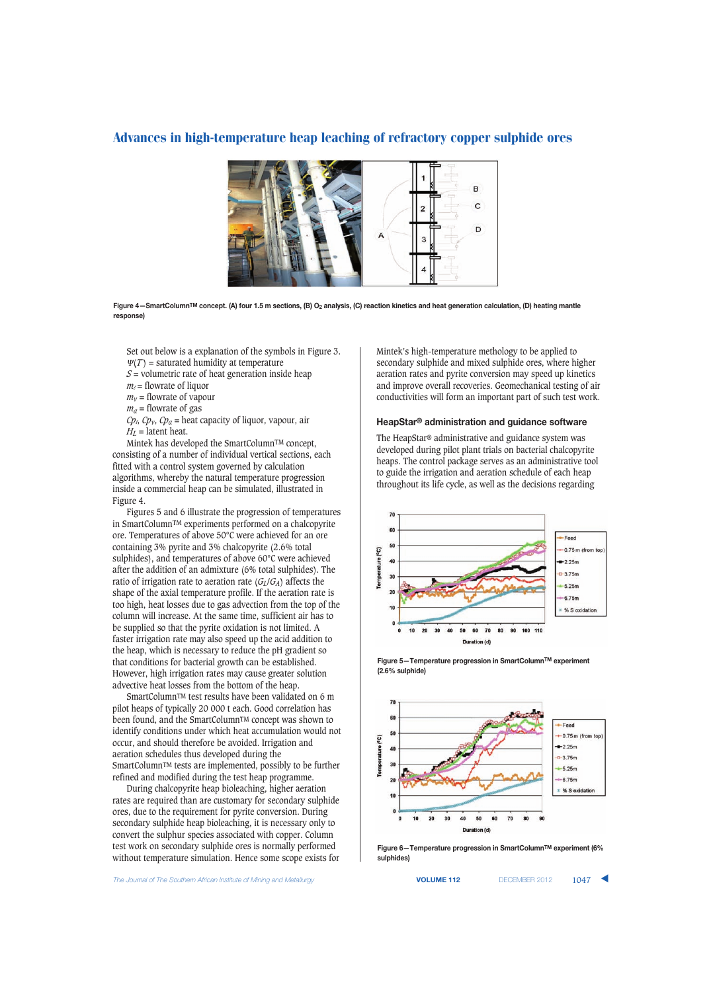

**Figure 4—SmartColumnTM concept. (A) four 1.5 m sections, (B) O2 analysis, (C) reaction kinetics and heat generation calculation, (D) heating mantle response)**

Set out below is a explanation of the symbols in Figure 3.  $\Psi(T)$  = saturated humidity at temperature

 $S =$  volumetric rate of heat generation inside heap

 $m_l$  = flowrate of liquor

 $m<sub>v</sub>$  = flowrate of vapour

 $m_a$  = flowrate of gas

 $Cp_4$ ,  $Cp_7$ ,  $Cp_a$  = heat capacity of liquor, vapour, air  $H_L$  = latent heat.

Mintek has developed the SmartColumnTM concept, consisting of a number of individual vertical sections, each fitted with a control system governed by calculation algorithms, whereby the natural temperature progression inside a commercial heap can be simulated, illustrated in Figure 4.

Figures 5 and 6 illustrate the progression of temperatures in SmartColumnTM experiments performed on a chalcopyrite ore. Temperatures of above 50°C were achieved for an ore containing 3% pyrite and 3% chalcopyrite (2.6% total sulphides), and temperatures of above 60°C were achieved after the addition of an admixture (6% total sulphides). The ratio of irrigation rate to aeration rate  $(G_L/G_A)$  affects the shape of the axial temperature profile. If the aeration rate is too high, heat losses due to gas advection from the top of the column will increase. At the same time, sufficient air has to be supplied so that the pyrite oxidation is not limited. A faster irrigation rate may also speed up the acid addition to the heap, which is necessary to reduce the pH gradient so that conditions for bacterial growth can be established. However, high irrigation rates may cause greater solution advective heat losses from the bottom of the heap.

SmartColumnTM test results have been validated on 6 m pilot heaps of typically 20 000 t each. Good correlation has been found, and the SmartColumn<sup>TM</sup> concept was shown to identify conditions under which heat accumulation would not occur, and should therefore be avoided. Irrigation and aeration schedules thus developed during the SmartColumnTM tests are implemented, possibly to be further refined and modified during the test heap programme.

During chalcopyrite heap bioleaching, higher aeration rates are required than are customary for secondary sulphide ores, due to the requirement for pyrite conversion. During secondary sulphide heap bioleaching, it is necessary only to convert the sulphur species associated with copper. Column test work on secondary sulphide ores is normally performed without temperature simulation. Hence some scope exists for

**The Journal of The Southern African Institute of Mining and Metallurgy <b>VOLUME 112 VOLUME 112 DECEMBER 2012 1047** 

Mintek's high-temperature methology to be applied to secondary sulphide and mixed sulphide ores, where higher aeration rates and pyrite conversion may speed up kinetics and improve overall recoveries. Geomechanical testing of air conductivities will form an important part of such test work.

#### **HeapStar® administration and guidance software**

The HeapStar® administrative and guidance system was developed during pilot plant trials on bacterial chalcopyrite heaps. The control package serves as an administrative tool to guide the irrigation and aeration schedule of each heap throughout its life cycle, as well as the decisions regarding



**Figure 5—Temperature progression in SmartColumnTM experiment (2.6% sulphide)**



**Figure 6—Temperature progression in SmartColumnTM experiment (6% sulphides)**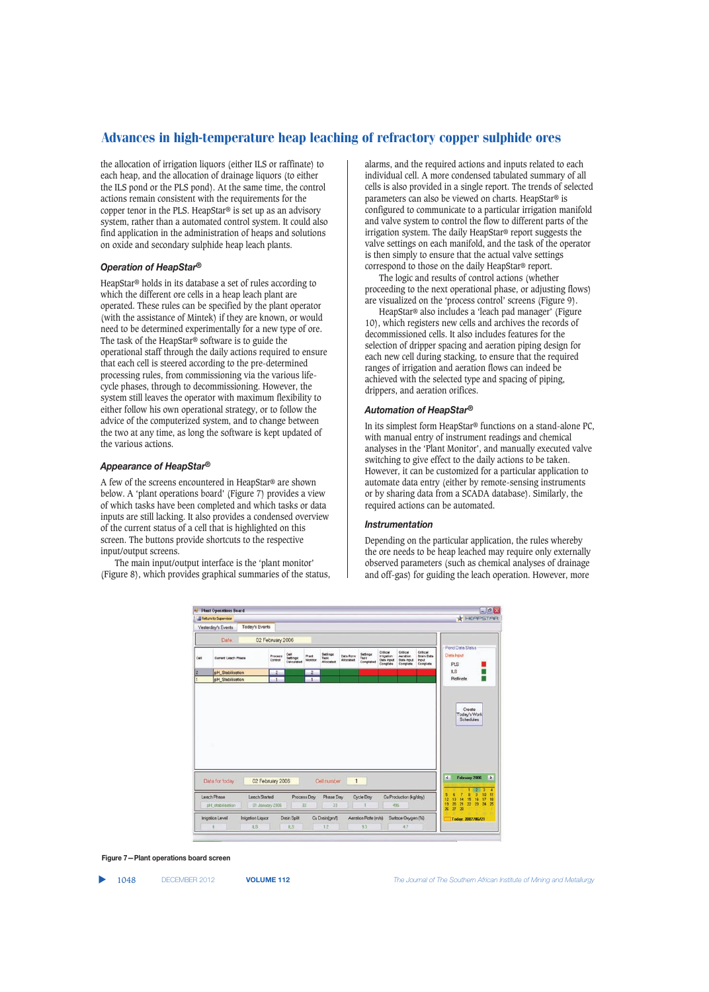the allocation of irrigation liquors (either ILS or raffinate) to each heap, and the allocation of drainage liquors (to either the ILS pond or the PLS pond). At the same time, the control actions remain consistent with the requirements for the copper tenor in the PLS. HeapStar® is set up as an advisory system, rather than a automated control system. It could also find application in the administration of heaps and solutions on oxide and secondary sulphide heap leach plants.

#### *Operation of HeapStar®*

HeapStar® holds in its database a set of rules according to which the different ore cells in a heap leach plant are operated. These rules can be specified by the plant operator (with the assistance of Mintek) if they are known, or would need to be determined experimentally for a new type of ore. The task of the HeapStar® software is to guide the operational staff through the daily actions required to ensure that each cell is steered according to the pre-determined processing rules, from commissioning via the various lifecycle phases, through to decommissioning. However, the system still leaves the operator with maximum flexibility to either follow his own operational strategy, or to follow the advice of the computerized system, and to change between the two at any time, as long the software is kept updated of the various actions.

#### *Appearance of HeapStar®*

A few of the screens encountered in HeapStar® are shown below. A 'plant operations board' (Figure 7) provides a view of which tasks have been completed and which tasks or data inputs are still lacking. It also provides a condensed overview of the current status of a cell that is highlighted on this screen. The buttons provide shortcuts to the respective input/output screens.

The main input/output interface is the 'plant monitor' (Figure 8), which provides graphical summaries of the status, alarms, and the required actions and inputs related to each individual cell. A more condensed tabulated summary of all cells is also provided in a single report. The trends of selected parameters can also be viewed on charts. HeapStar® is configured to communicate to a particular irrigation manifold and valve system to control the flow to different parts of the irrigation system. The daily HeapStar® report suggests the valve settings on each manifold, and the task of the operator is then simply to ensure that the actual valve settings correspond to those on the daily HeapStar® report.

The logic and results of control actions (whether proceeding to the next operational phase, or adjusting flows) are visualized on the 'process control' screens (Figure 9).

HeapStar® also includes a 'leach pad manager' (Figure 10), which registers new cells and archives the records of decommissioned cells. It also includes features for the selection of dripper spacing and aeration piping design for each new cell during stacking, to ensure that the required ranges of irrigation and aeration flows can indeed be achieved with the selected type and spacing of piping, drippers, and aeration orifices.

#### *Automation of HeapStar®*

In its simplest form HeapStar® functions on a stand-alone PC, with manual entry of instrument readings and chemical analyses in the 'Plant Monitor', and manually executed valve switching to give effect to the daily actions to be taken. However, it can be customized for a particular application to automate data entry (either by remote-sensing instruments or by sharing data from a SCADA database). Similarly, the required actions can be automated.

#### *Instrumentation*

Depending on the particular application, the rules whereby the ore needs to be heap leached may require only externally observed parameters (such as chemical analyses of drainage and off-gas) for guiding the leach operation. However, more



**Figure 7—Plant operations board screen**

▲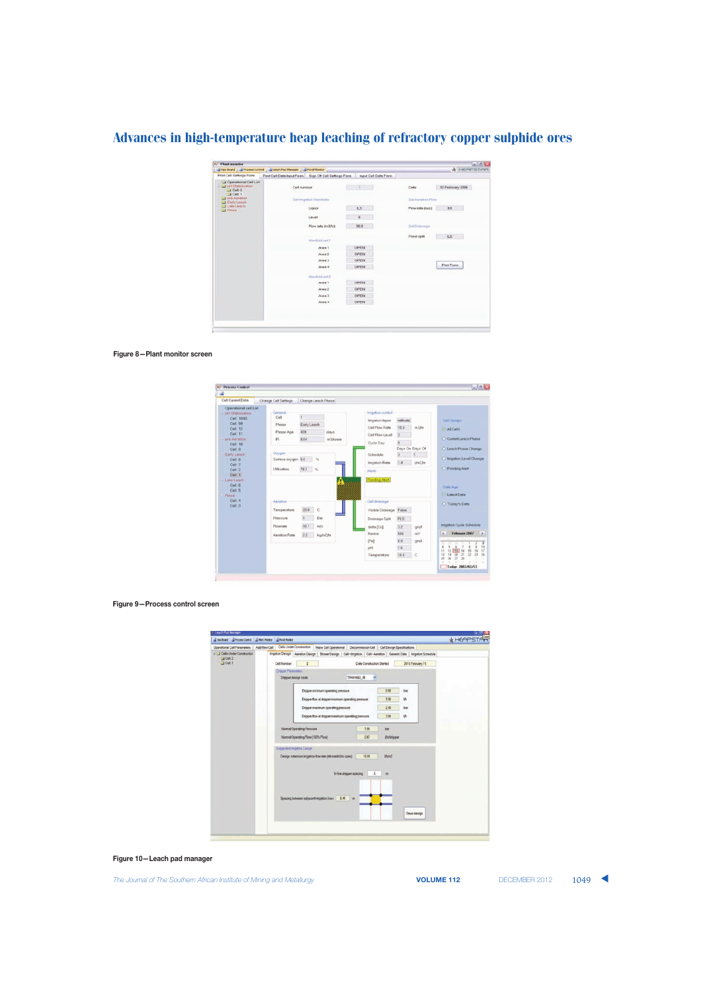|                                                                                                                                                | Cos Board   J Process Control   J Leach Pad Manager   J Porul Monitor |                                                        |                      |                   | $-0.006$<br><b>A HOPPISTARY</b> |  |
|------------------------------------------------------------------------------------------------------------------------------------------------|-----------------------------------------------------------------------|--------------------------------------------------------|----------------------|-------------------|---------------------------------|--|
| <b>Print Cell Settings Form</b>                                                                                                                |                                                                       | Print Cell Data Input Form Sign Off Cell Settings Form | Input Cell Data Form |                   |                                 |  |
| Operational Cell List<br>$ -$ pH Stablination<br>$-1$ Cult 2<br>$-4$ Cell: 1<br>T pre Aeration<br>Early Leach<br>Late Leach<br><b>Ci Pimie</b> | Call number                                                           |                                                        | Date                 | 02 February 2006  |                                 |  |
|                                                                                                                                                | Set Imgation Manifolds                                                |                                                        |                      | Set Aerotion Flow |                                 |  |
|                                                                                                                                                |                                                                       | Liquor                                                 | ILS.                 | Flow rate (m/s)   | 8.8                             |  |
|                                                                                                                                                |                                                                       | Level                                                  | 6                    |                   |                                 |  |
|                                                                                                                                                |                                                                       | Flow rate (m3/hr)                                      | 90.0                 | Sixt Drawings     |                                 |  |
|                                                                                                                                                |                                                                       | Manhold earl 3                                         |                      | Pond split        | K.S<br>- 11                     |  |
|                                                                                                                                                |                                                                       | Ares 1                                                 | OPEN                 |                   |                                 |  |
|                                                                                                                                                |                                                                       | Aren 2                                                 | OPEN                 |                   |                                 |  |
|                                                                                                                                                |                                                                       | Aren 3                                                 | OPEN                 |                   |                                 |  |
|                                                                                                                                                |                                                                       | Aren 4                                                 | OPEN                 |                   | <b>Print Form</b>               |  |
|                                                                                                                                                |                                                                       | Manifesta and 2                                        |                      |                   |                                 |  |
|                                                                                                                                                |                                                                       | Aren 1                                                 | OPEN.                |                   |                                 |  |
|                                                                                                                                                |                                                                       | Area 2                                                 | OPEN                 |                   |                                 |  |
|                                                                                                                                                |                                                                       | Area 3                                                 | OPEN                 |                   |                                 |  |
|                                                                                                                                                |                                                                       | Area 4                                                 | OPEN                 |                   |                                 |  |

#### **Figure 8—Plant monitor screen**



#### **Figure 9—Process control screen**

| Costord Choose Corbol Chat Monte Chard Monte |                                                                          |                                                    |                                                                                                                        |      |             |  |  |  |
|----------------------------------------------|--------------------------------------------------------------------------|----------------------------------------------------|------------------------------------------------------------------------------------------------------------------------|------|-------------|--|--|--|
| Operational Cell Parameters<br>Add New Cell  | Cells Under Construction                                                 |                                                    | Meke Cell Operational   Decommission Cell   Cell Design Specifications                                                 |      |             |  |  |  |
| Cells Under Construction                     |                                                                          |                                                    | Imgation Design Aeration Design   Blower Design   Cell - Imgation   Cell - Aeration   General Data   Imgation Schedule |      |             |  |  |  |
| $J$ Cell 2<br>C <sub>0</sub>                 | Cell Number                                                              |                                                    | 2010 February 15<br>Date Construction Started                                                                          |      |             |  |  |  |
|                                              | <b>Dripper Parameters</b>                                                |                                                    |                                                                                                                        |      |             |  |  |  |
|                                              | Dripper design code                                                      |                                                    | <b>TRANSE2 48</b>                                                                                                      |      |             |  |  |  |
|                                              |                                                                          | Dripper minimum operating pressure                 |                                                                                                                        | 0.90 | bar         |  |  |  |
|                                              |                                                                          | Dripper flow at dripper minimum operating pressure |                                                                                                                        | 130  | <b>Vh</b>   |  |  |  |
|                                              |                                                                          | Dripper maximum operating pressure                 |                                                                                                                        | 24   | btr         |  |  |  |
|                                              |                                                                          | Dripper flow at dripper maximum operating pressure |                                                                                                                        | 3.00 | 1h          |  |  |  |
|                                              |                                                                          |                                                    |                                                                                                                        |      |             |  |  |  |
|                                              | Normal Operating Pressure                                                | 1.95                                               | bor                                                                                                                    |      |             |  |  |  |
|                                              | Nomal Operating Flow (100% Flow)                                         | 257                                                | <b><i><i><u>Unidroper</u></i></i></b>                                                                                  |      |             |  |  |  |
|                                              | Suggested Inigation Design                                               |                                                    |                                                                                                                        |      |             |  |  |  |
|                                              | Design meximum imigetion flow rate (ell manifolds open)<br>10.00<br>IAH2 |                                                    |                                                                                                                        |      |             |  |  |  |
|                                              |                                                                          |                                                    |                                                                                                                        |      |             |  |  |  |
|                                              |                                                                          |                                                    |                                                                                                                        |      |             |  |  |  |
|                                              |                                                                          |                                                    | In-line dripper specing<br>â                                                                                           | m    |             |  |  |  |
|                                              |                                                                          |                                                    |                                                                                                                        |      |             |  |  |  |
|                                              |                                                                          |                                                    |                                                                                                                        |      |             |  |  |  |
|                                              |                                                                          | Specing between adjacent imigation lines   0.45    | $\mathbb{R}$                                                                                                           |      |             |  |  |  |
|                                              |                                                                          |                                                    |                                                                                                                        |      |             |  |  |  |
|                                              |                                                                          |                                                    |                                                                                                                        |      | Save design |  |  |  |
|                                              |                                                                          |                                                    |                                                                                                                        |      |             |  |  |  |

**Figure 10—Leach pad manager**

The Journal of The Southern African Institute of Mining and Metallurgy **VOLUME 112** DECEMBER 2012 1049 **▲**